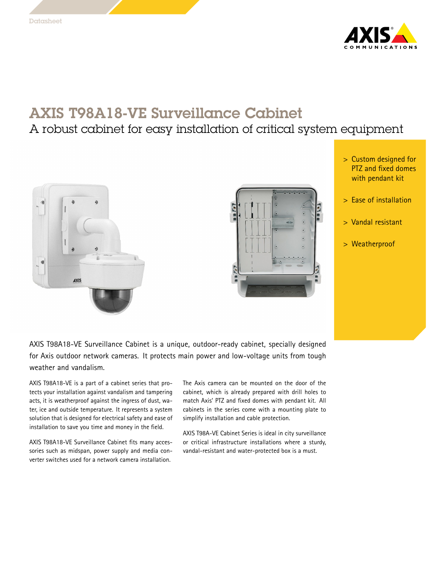

## AXIS T98A18-VE Surveillance Cabinet

## A robust cabinet for easy installation of critical system equipment





- <sup>&</sup>gt; Custom designed for PTZ and fixed domes with pendant kit
- <sup>&</sup>gt; Ease of installation
- <sup>&</sup>gt; Vandal resistant
- <sup>&</sup>gt; Weatherproof

AXIS T98A18-VE Surveillance Cabinet is <sup>a</sup> unique, outdoor-ready cabinet, specially designed for Axis outdoor network cameras. It protects main power and low-voltage units from tough weather and vandalism.

AXIS T98A18-VE is <sup>a</sup> part of <sup>a</sup> cabinet series that protects your installation against vandalism and tampering acts, it is weatherproof against the ingress of dust, water, ice and outside temperature. It represents <sup>a</sup> system solution that is designed for electrical safety and ease of installation to save you time and money in the field.

AXIS T98A18-VE Surveillance Cabinet fits many accessories such as midspan, power supply and media converter switches used for a network camera installation.

The Axis camera can be mounted on the door of the cabinet, which is already prepared with drill holes to match Axis' PTZ and fixed domes with pendant kit. All cabinets in the series come with <sup>a</sup> mounting plate to simplify installation and cable protection.

AXIS T98A-VE Cabinet Series is ideal in city surveillance or critical infrastructure installations where <sup>a</sup> sturdy, vandal-resistant and water-protected box is <sup>a</sup> must.